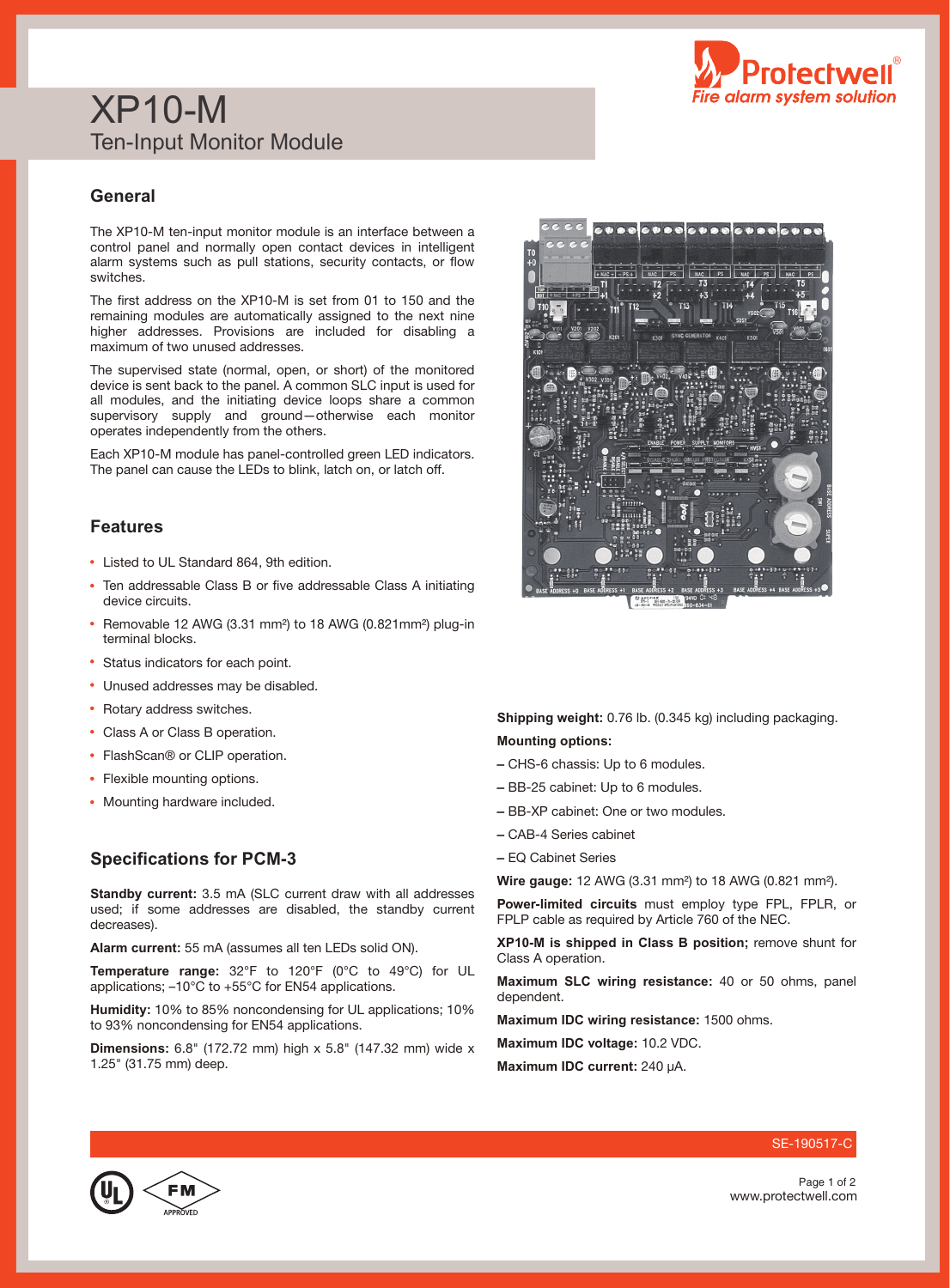

# XP10-M Ten-Input Monitor Module

### **General**

The XP10-M ten-input monitor module is an interface between a control panel and normally open contact devices in intelligent alarm systems such as pull stations, security contacts, or flow switches.

The first address on the XP10-M is set from 01 to 150 and the remaining modules are automatically assigned to the next nine higher addresses. Provisions are included for disabling a maximum of two unused addresses.

The supervised state (normal, open, or short) of the monitored device is sent back to the panel. A common SLC input is used for all modules, and the initiating device loops share a common supervisory supply and ground—otherwise each monitor operates independently from the others.

Each XP10-M module has panel-controlled green LED indicators. The panel can cause the LEDs to blink, latch on, or latch off.

### **Features**

- Listed to UL Standard 864, 9th edition.
- Ten addressable Class B or five addressable Class A initiating device circuits.
- Removable 12 AWG (3.31 mm²) to 18 AWG (0.821mm²) plug-in terminal blocks.
- Status indicators for each point.
- Unused addresses may be disabled.
- Rotary address switches.
- Class A or Class B operation.
- FlashScan® or CLIP operation.
- Flexible mounting options.
- Mounting hardware included.

#### **Specifications for PCM-3**

**Standby current:** 3.5 mA (SLC current draw with all addresses used; if some addresses are disabled, the standby current decreases).

**Alarm current:** 55 mA (assumes all ten LEDs solid ON).

**Temperature range:** 32°F to 120°F (0°C to 49°C) for UL applications; –10°C to +55°C for EN54 applications.

**Humidity:** 10% to 85% noncondensing for UL applications; 10% to 93% noncondensing for EN54 applications.

**Dimensions:** 6.8" (172.72 mm) high x 5.8" (147.32 mm) wide x 1.25" (31.75 mm) deep.



- CHS-6 chassis: Up to 6 modules.
- **–** BB-25 cabinet: Up to 6 modules.
- BB-XP cabinet: One or two modules.
- **–** CAB-4 Series cabinet
- EQ Cabinet Series

**Wire gauge:** 12 AWG (3.31 mm²) to 18 AWG (0.821 mm²).

**Power-limited circuits** must employ type FPL, FPLR, or FPLP cable as required by Article 760 of the NEC.

**XP10-M is shipped in Class B position;** remove shunt for Class A operation.

**Maximum SLC wiring resistance:** 40 or 50 ohms, panel dependent.

**Maximum IDC wiring resistance:** 1500 ohms.

**Maximum IDC voltage:** 10.2 VDC.

**Maximum IDC current:** 240 µA.



www.protectwell.com Page 1 of 2

SE-190517-C